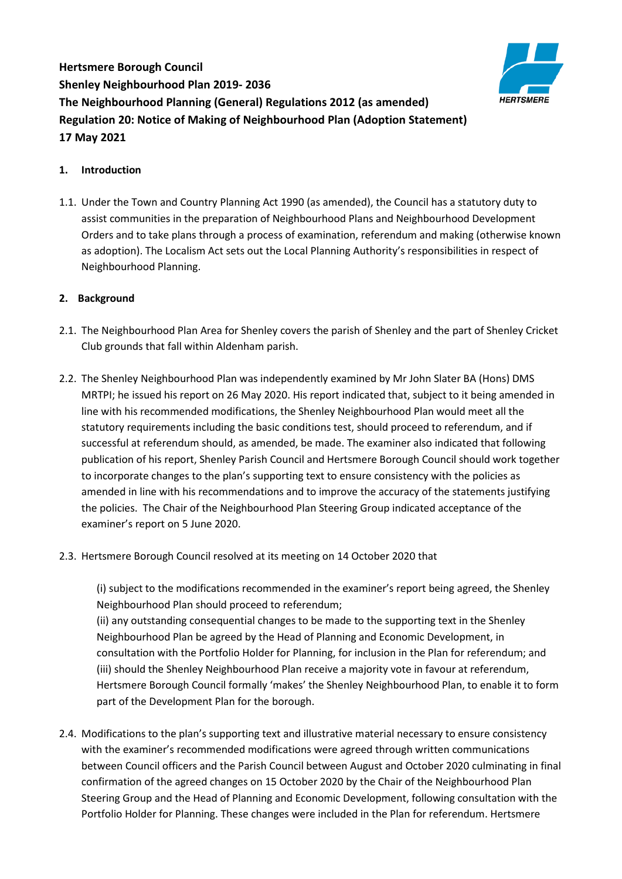**Hertsmere Borough Council Shenley Neighbourhood Plan 2019- 2036 The Neighbourhood Planning (General) Regulations 2012 (as amended) Regulation 20: Notice of Making of Neighbourhood Plan (Adoption Statement) 17 May 2021**



## **1. Introduction**

1.1. Under the Town and Country Planning Act 1990 (as amended), the Council has a statutory duty to assist communities in the preparation of Neighbourhood Plans and Neighbourhood Development Orders and to take plans through a process of examination, referendum and making (otherwise known as adoption). The Localism Act sets out the Local Planning Authority's responsibilities in respect of Neighbourhood Planning.

## **2. Background**

- 2.1. The Neighbourhood Plan Area for Shenley covers the parish of Shenley and the part of Shenley Cricket Club grounds that fall within Aldenham parish.
- 2.2. The Shenley Neighbourhood Plan was independently examined by Mr John Slater BA (Hons) DMS MRTPI; he issued his report on 26 May 2020. His report indicated that, subject to it being amended in line with his recommended modifications, the Shenley Neighbourhood Plan would meet all the statutory requirements including the basic conditions test, should proceed to referendum, and if successful at referendum should, as amended, be made. The examiner also indicated that following publication of his report, Shenley Parish Council and Hertsmere Borough Council should work together to incorporate changes to the plan's supporting text to ensure consistency with the policies as amended in line with his recommendations and to improve the accuracy of the statements justifying the policies. The Chair of the Neighbourhood Plan Steering Group indicated acceptance of the examiner's report on 5 June 2020.
- 2.3. Hertsmere Borough Council resolved at its meeting on 14 October 2020 that

(i) subject to the modifications recommended in the examiner's report being agreed, the Shenley Neighbourhood Plan should proceed to referendum;

(ii) any outstanding consequential changes to be made to the supporting text in the Shenley Neighbourhood Plan be agreed by the Head of Planning and Economic Development, in consultation with the Portfolio Holder for Planning, for inclusion in the Plan for referendum; and (iii) should the Shenley Neighbourhood Plan receive a majority vote in favour at referendum, Hertsmere Borough Council formally 'makes' the Shenley Neighbourhood Plan, to enable it to form part of the Development Plan for the borough.

2.4. Modifications to the plan's supporting text and illustrative material necessary to ensure consistency with the examiner's recommended modifications were agreed through written communications between Council officers and the Parish Council between August and October 2020 culminating in final confirmation of the agreed changes on 15 October 2020 by the Chair of the Neighbourhood Plan Steering Group and the Head of Planning and Economic Development, following consultation with the Portfolio Holder for Planning. These changes were included in the Plan for referendum. Hertsmere